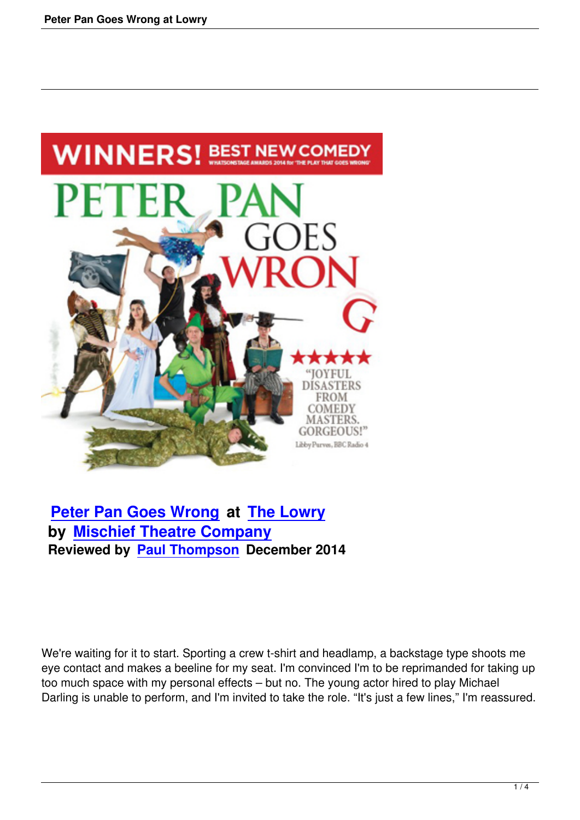

## **Peter Pan Goes Wrong at The Lowry by Mischief Theatre Company [Reviewed by Paul Thomps](peter-pan-goes-wrong-at-lowry.html)on [December 20](http://www.thelowry.com)14**

We're waiting for it to start. Sporting a crew t-shirt and headlamp, a backstage type shoots me eye contact and makes a beeline for my seat. I'm convinced I'm to be reprimanded for taking up too much space with my personal effects – but no. The young actor hired to play Michael Darling is unable to perform, and I'm invited to take the role. "It's just a few lines," I'm reassured.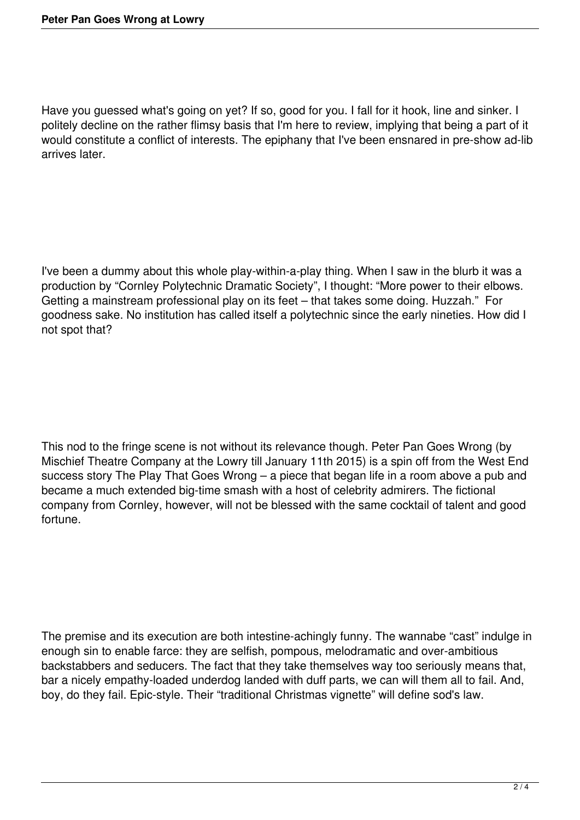Have you guessed what's going on yet? If so, good for you. I fall for it hook, line and sinker. I politely decline on the rather flimsy basis that I'm here to review, implying that being a part of it would constitute a conflict of interests. The epiphany that I've been ensnared in pre-show ad-lib arrives later.

I've been a dummy about this whole play-within-a-play thing. When I saw in the blurb it was a production by "Cornley Polytechnic Dramatic Society", I thought: "More power to their elbows. Getting a mainstream professional play on its feet – that takes some doing. Huzzah." For goodness sake. No institution has called itself a polytechnic since the early nineties. How did I not spot that?

This nod to the fringe scene is not without its relevance though. Peter Pan Goes Wrong (by Mischief Theatre Company at the Lowry till January 11th 2015) is a spin off from the West End success story The Play That Goes Wrong – a piece that began life in a room above a pub and became a much extended big-time smash with a host of celebrity admirers. The fictional company from Cornley, however, will not be blessed with the same cocktail of talent and good fortune.

The premise and its execution are both intestine-achingly funny. The wannabe "cast" indulge in enough sin to enable farce: they are selfish, pompous, melodramatic and over-ambitious backstabbers and seducers. The fact that they take themselves way too seriously means that, bar a nicely empathy-loaded underdog landed with duff parts, we can will them all to fail. And, boy, do they fail. Epic-style. Their "traditional Christmas vignette" will define sod's law.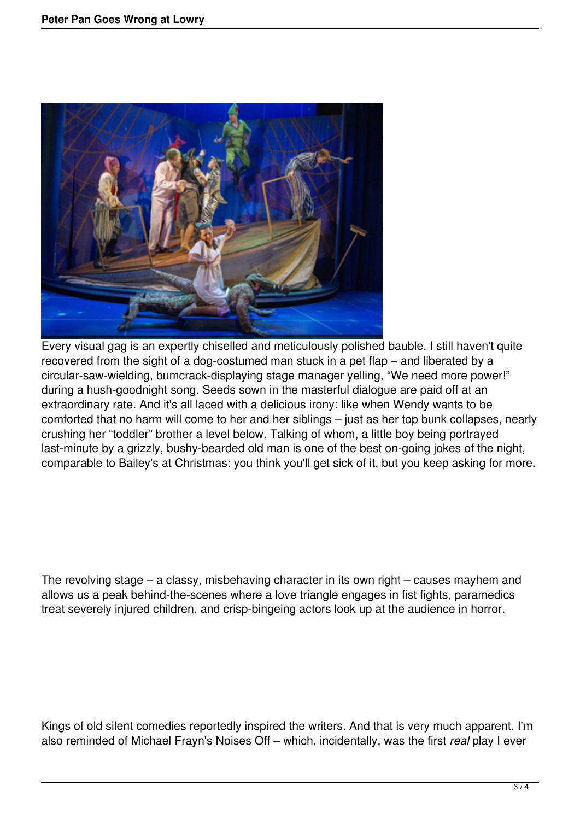

Every visual gag is an expertly chiselled and meticulously polished bauble. I still haven't quite recovered from the sight of a dog-costumed man stuck in a pet flap – and liberated by a circular-saw-wielding, bumcrack-displaying stage manager yelling, "We need more power!" during a hush-goodnight song. Seeds sown in the masterful dialogue are paid off at an extraordinary rate. And it's all laced with a delicious irony: like when Wendy wants to be comforted that no harm will come to her and her siblings – just as her top bunk collapses, nearly crushing her "toddler" brother a level below. Talking of whom, a little boy being portrayed last-minute by a grizzly, bushy-bearded old man is one of the best on-going jokes of the night, comparable to Bailey's at Christmas: you think you'll get sick of it, but you keep asking for more.

The revolving stage – a classy, misbehaving character in its own right – causes mayhem and allows us a peak behind-the-scenes where a love triangle engages in fist fights, paramedics treat severely injured children, and crisp-bingeing actors look up at the audience in horror.

Kings of old silent comedies reportedly inspired the writers. And that is very much apparent. I'm also reminded of Michael Frayn's Noises Off – which, incidentally, was the first *real* play I ever